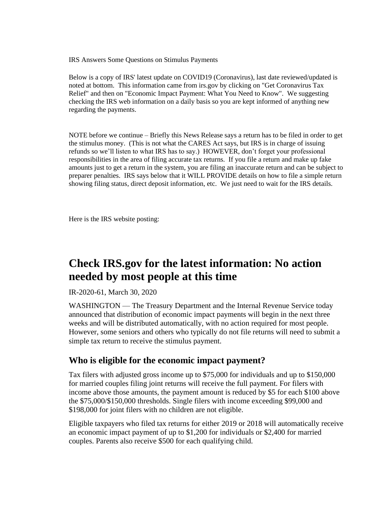IRS Answers Some Questions on Stimulus Payments

Below is a copy of IRS' latest update on COVID19 (Coronavirus), last date reviewed/updated is noted at bottom. This information came from irs.gov by clicking on "Get Coronavirus Tax Relief" and then on "Economic Impact Payment: What You Need to Know". We suggesting checking the IRS web information on a daily basis so you are kept informed of anything new regarding the payments.

NOTE before we continue – Briefly this News Release says a return has to be filed in order to get the stimulus money. (This is not what the CARES Act says, but IRS is in charge of issuing refunds so we'll listen to what IRS has to say.) HOWEVER, don't forget your professional responsibilities in the area of filing accurate tax returns. If you file a return and make up fake amounts just to get a return in the system, you are filing an inaccurate return and can be subject to preparer penalties. IRS says below that it WILL PROVIDE details on how to file a simple return showing filing status, direct deposit information, etc. We just need to wait for the IRS details.

Here is the IRS website posting:

# **Check IRS.gov for the latest information: No action needed by most people at this time**

IR-2020-61, March 30, 2020

WASHINGTON — The Treasury Department and the Internal Revenue Service today announced that distribution of economic impact payments will begin in the next three weeks and will be distributed automatically, with no action required for most people. However, some seniors and others who typically do not file returns will need to submit a simple tax return to receive the stimulus payment.

#### **Who is eligible for the economic impact payment?**

Tax filers with adjusted gross income up to \$75,000 for individuals and up to \$150,000 for married couples filing joint returns will receive the full payment. For filers with income above those amounts, the payment amount is reduced by \$5 for each \$100 above the \$75,000/\$150,000 thresholds. Single filers with income exceeding \$99,000 and \$198,000 for joint filers with no children are not eligible.

Eligible taxpayers who filed tax returns for either 2019 or 2018 will automatically receive an economic impact payment of up to \$1,200 for individuals or \$2,400 for married couples. Parents also receive \$500 for each qualifying child.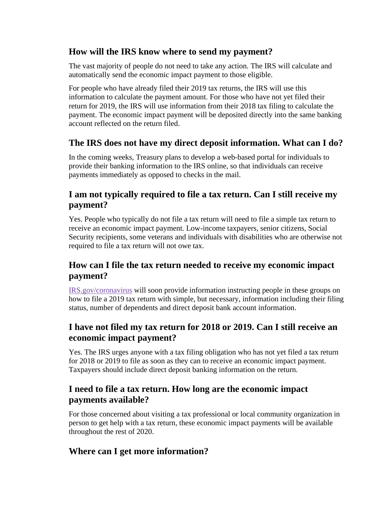#### **How will the IRS know where to send my payment?**

The vast majority of people do not need to take any action. The IRS will calculate and automatically send the economic impact payment to those eligible.

For people who have already filed their 2019 tax returns, the IRS will use this information to calculate the payment amount. For those who have not yet filed their return for 2019, the IRS will use information from their 2018 tax filing to calculate the payment. The economic impact payment will be deposited directly into the same banking account reflected on the return filed.

# **The IRS does not have my direct deposit information. What can I do?**

In the coming weeks, Treasury plans to develop a web-based portal for individuals to provide their banking information to the IRS online, so that individuals can receive payments immediately as opposed to checks in the mail.

#### **I am not typically required to file a tax return. Can I still receive my payment?**

Yes. People who typically do not file a tax return will need to file a simple tax return to receive an economic impact payment. Low-income taxpayers, senior citizens, Social Security recipients, some veterans and individuals with disabilities who are otherwise not required to file a tax return will not owe tax.

### **How can I file the tax return needed to receive my economic impact payment?**

[IRS.gov/coronavirus](https://www.irs.gov/coronavirus) will soon provide information instructing people in these groups on how to file a 2019 tax return with simple, but necessary, information including their filing status, number of dependents and direct deposit bank account information.

# **I have not filed my tax return for 2018 or 2019. Can I still receive an economic impact payment?**

Yes. The IRS urges anyone with a tax filing obligation who has not yet filed a tax return for 2018 or 2019 to file as soon as they can to receive an economic impact payment. Taxpayers should include direct deposit banking information on the return.

#### **I need to file a tax return. How long are the economic impact payments available?**

For those concerned about visiting a tax professional or local community organization in person to get help with a tax return, these economic impact payments will be available throughout the rest of 2020.

### **Where can I get more information?**